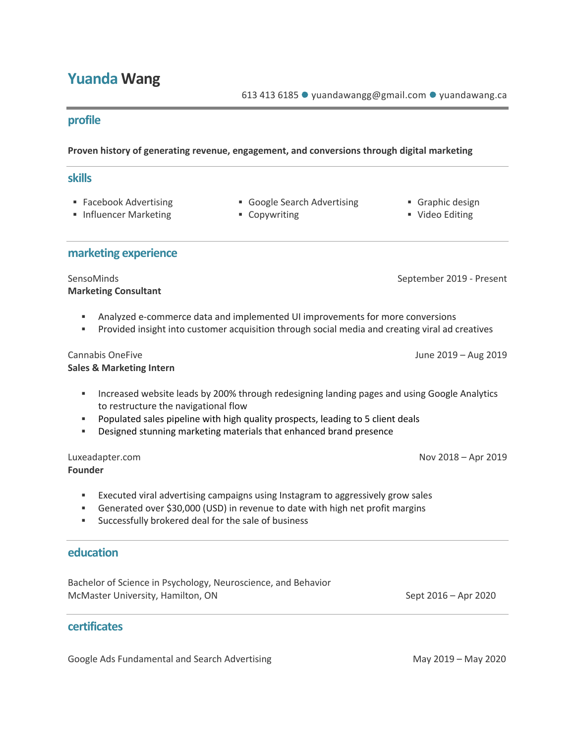### **Yuanda Wang**

613 413 6185 · yuandawangg@gmail.com · yuandawang.ca

#### **profile**

#### **Proven history of generating revenue, engagement, and conversions through digital marketing**

#### **skills**

- 
- Influencer Marketing ■ Copywriting ■ Video Editing
- Facebook Advertising Google Search Advertising Graphic design
	-
- 
- 

#### **marketing experience**

**Marketing Consultant**

SensoMinds September 2019 - Present

- § Analyzed e-commerce data and implemented UI improvements for more conversions
- § Provided insight into customer acquisition through social media and creating viral ad creatives

#### **Sales & Marketing Intern**

- **■** Increased website leads by 200% through redesigning landing pages and using Google Analytics to restructure the navigational flow
- § Populated sales pipeline with high quality prospects, leading to 5 client deals
- § Designed stunning marketing materials that enhanced brand presence

## **Founder**

- **Executed viral advertising campaigns using Instagram to aggressively grow sales**
- § Generated over \$30,000 (USD) in revenue to date with high net profit margins
- § Successfully brokered deal for the sale of business

#### **education**

Bachelor of Science in Psychology, Neuroscience, and Behavior McMaster University, Hamilton, ON Sept 2016 – Apr 2020

#### **certificates**

Google Ads Fundamental and Search Advertising May 2019 – May 2019 – May 2020

Luxeadapter.com Nov 2018 – Apr 2019

Cannabis OneFive June 2019 – Aug 2019